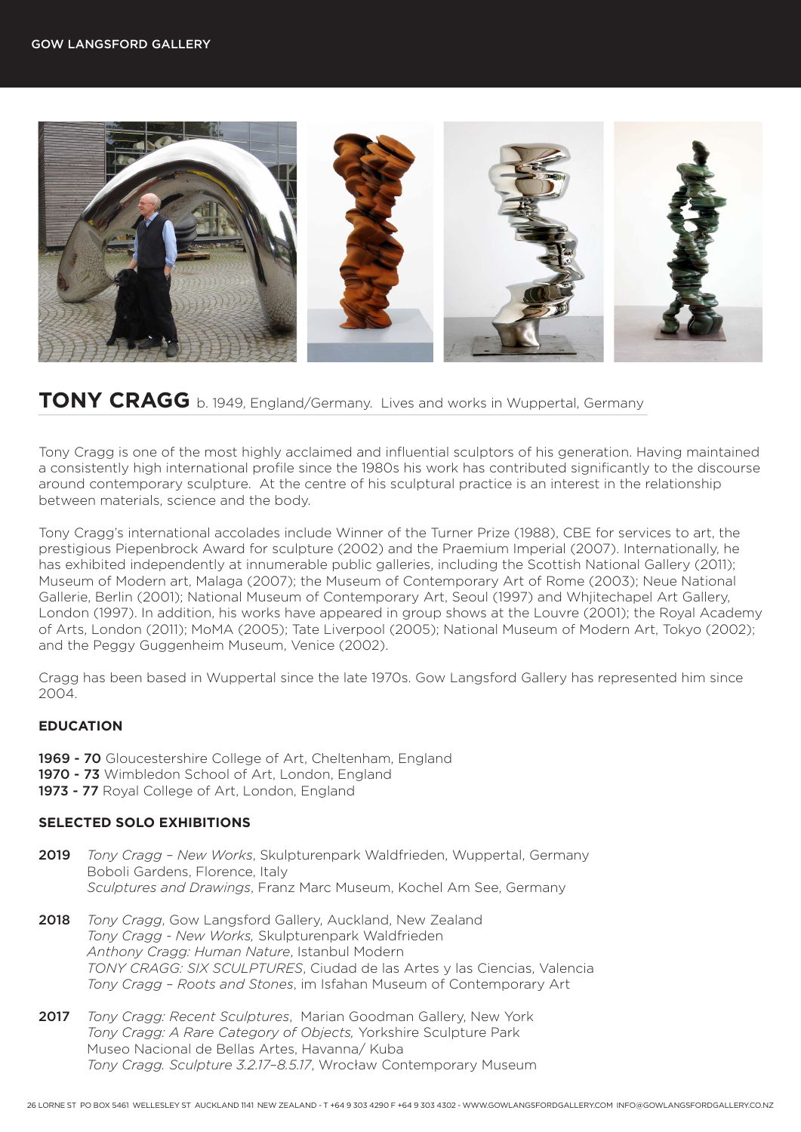

# **TONY CRAGG** b. 1949, England/Germany. Lives and works in Wuppertal, Germany

Tony Cragg is one of the most highly acclaimed and influential sculptors of his generation. Having maintained a consistently high international profile since the 1980s his work has contributed significantly to the discourse around contemporary sculpture. At the centre of his sculptural practice is an interest in the relationship between materials, science and the body.

Tony Cragg's international accolades include Winner of the Turner Prize (1988), CBE for services to art, the prestigious Piepenbrock Award for sculpture (2002) and the Praemium Imperial (2007). Internationally, he has exhibited independently at innumerable public galleries, including the Scottish National Gallery (2011); Museum of Modern art, Malaga (2007); the Museum of Contemporary Art of Rome (2003); Neue National Gallerie, Berlin (2001); National Museum of Contemporary Art, Seoul (1997) and Whjitechapel Art Gallery, London (1997). In addition, his works have appeared in group shows at the Louvre (2001); the Royal Academy of Arts, London (2011); MoMA (2005); Tate Liverpool (2005); National Museum of Modern Art, Tokyo (2002); and the Peggy Guggenheim Museum, Venice (2002).

Cragg has been based in Wuppertal since the late 1970s. Gow Langsford Gallery has represented him since 2004.

## **EDUCATION**

- 1969 70 Gloucestershire College of Art, Cheltenham, England
- 1970 73 Wimbledon School of Art, London, England
- 1973 77 Royal College of Art, London, England

## **SELECTED SOLO EXHIBITIONS**

- 2019 *Tony Cragg New Works*, Skulpturenpark Waldfrieden, Wuppertal, Germany Boboli Gardens, Florence, Italy *Sculptures and Drawings*, Franz Marc Museum, Kochel Am See, Germany
- 2018 *Tony Cragg*, Gow Langsford Gallery, Auckland, New Zealand *Tony Cragg - New Works,* Skulpturenpark Waldfrieden *Anthony Cragg: Human Nature*, Istanbul Modern *TONY CRAGG: SIX SCULPTURES*, Ciudad de las Artes y las Ciencias, Valencia *Tony Cragg – Roots and Stones*, im Isfahan Museum of Contemporary Art
- 2017 *Tony Cragg: Recent Sculptures*, Marian Goodman Gallery, New York *Tony Cragg: A Rare Category of Objects,* Yorkshire Sculpture Park Museo Nacional de Bellas Artes, Havanna/ Kuba *Tony Cragg. Sculpture 3.2.17–8.5.17*, Wrocław Contemporary Museum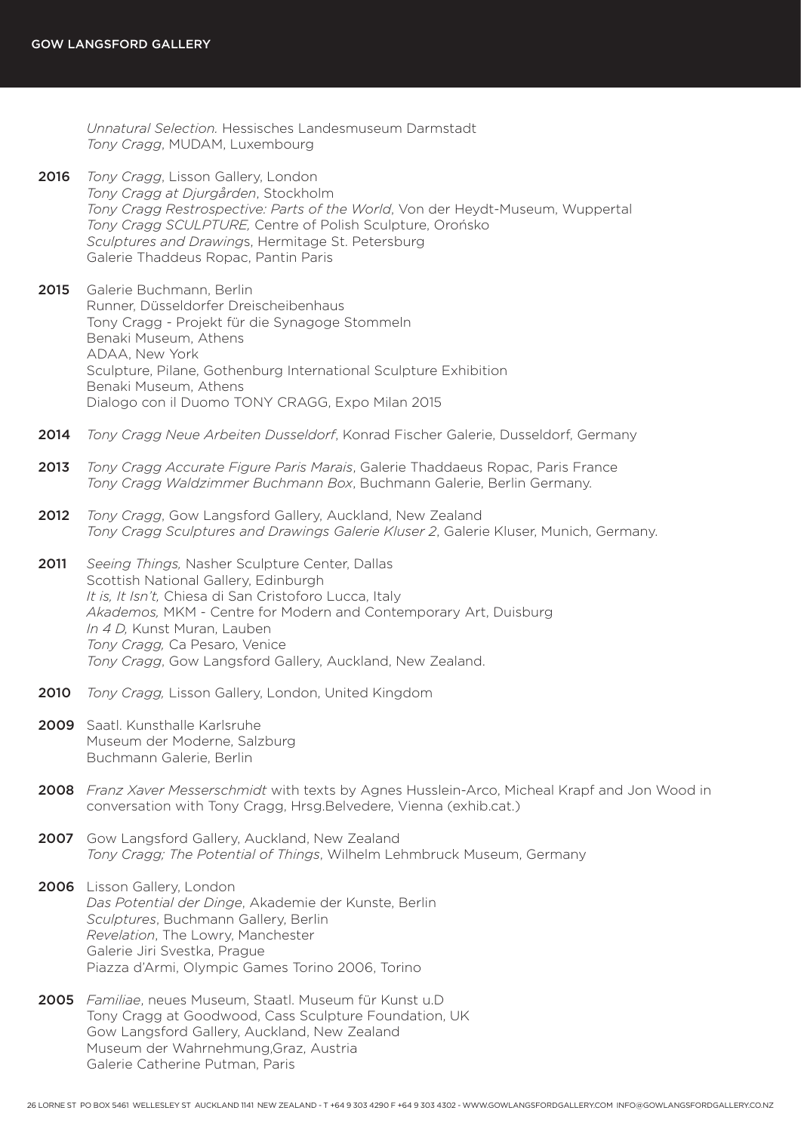*Unnatural Selection.* Hessisches Landesmuseum Darmstadt *Tony Cragg*, MUDAM, Luxembourg

- 2016 *Tony Cragg*, Lisson Gallery, London *Tony Cragg at Djurgården*, Stockholm *Tony Cragg Restrospective: Parts of the World*, Von der Heydt-Museum, Wuppertal *Tony Cragg SCULPTURE,* Centre of Polish Sculpture, Orońsko *Sculptures and Drawing*s, Hermitage St. Petersburg Galerie Thaddeus Ropac, Pantin Paris
- 2015 Galerie Buchmann, Berlin Runner, Düsseldorfer Dreischeibenhaus Tony Cragg - Projekt für die Synagoge Stommeln Benaki Museum, Athens ADAA, New York Sculpture, Pilane, Gothenburg International Sculpture Exhibition Benaki Museum, Athens Dialogo con il Duomo TONY CRAGG, Expo Milan 2015
- 2014 *Tony Cragg Neue Arbeiten Dusseldorf*, Konrad Fischer Galerie, Dusseldorf, Germany
- 2013 *Tony Cragg Accurate Figure Paris Marais*, Galerie Thaddaeus Ropac, Paris France *Tony Cragg Waldzimmer Buchmann Box*, Buchmann Galerie, Berlin Germany.
- 2012 *Tony Cragg*, Gow Langsford Gallery, Auckland, New Zealand *Tony Cragg Sculptures and Drawings Galerie Kluser 2*, Galerie Kluser, Munich, Germany.
- 2011 *Seeing Things,* Nasher Sculpture Center, Dallas Scottish National Gallery, Edinburgh *It is, It Isn't,* Chiesa di San Cristoforo Lucca, Italy *Akademos,* MKM - Centre for Modern and Contemporary Art, Duisburg *In 4 D,* Kunst Muran, Lauben *Tony Cragg,* Ca Pesaro, Venice *Tony Cragg*, Gow Langsford Gallery, Auckland, New Zealand.
- 2010 *Tony Cragg,* Lisson Gallery, London, United Kingdom
- 2009 Saatl. Kunsthalle Karlsruhe Museum der Moderne, Salzburg Buchmann Galerie, Berlin
- 2008 *Franz Xaver Messerschmidt* with texts by Agnes Husslein-Arco, Micheal Krapf and Jon Wood in conversation with Tony Cragg, Hrsg.Belvedere, Vienna (exhib.cat.)
- 2007 Gow Langsford Gallery, Auckland, New Zealand *Tony Cragg; The Potential of Things*, Wilhelm Lehmbruck Museum, Germany
- 2006 Lisson Gallery, London *Das Potential der Dinge*, Akademie der Kunste, Berlin *Sculptures*, Buchmann Gallery, Berlin *Revelation*, The Lowry, Manchester Galerie Jiri Svestka, Prague Piazza d'Armi, Olympic Games Torino 2006, Torino
- 2005 *Familiae*, neues Museum, Staatl. Museum für Kunst u.D Tony Cragg at Goodwood, Cass Sculpture Foundation, UK Gow Langsford Gallery, Auckland, New Zealand Museum der Wahrnehmung,Graz, Austria Galerie Catherine Putman, Paris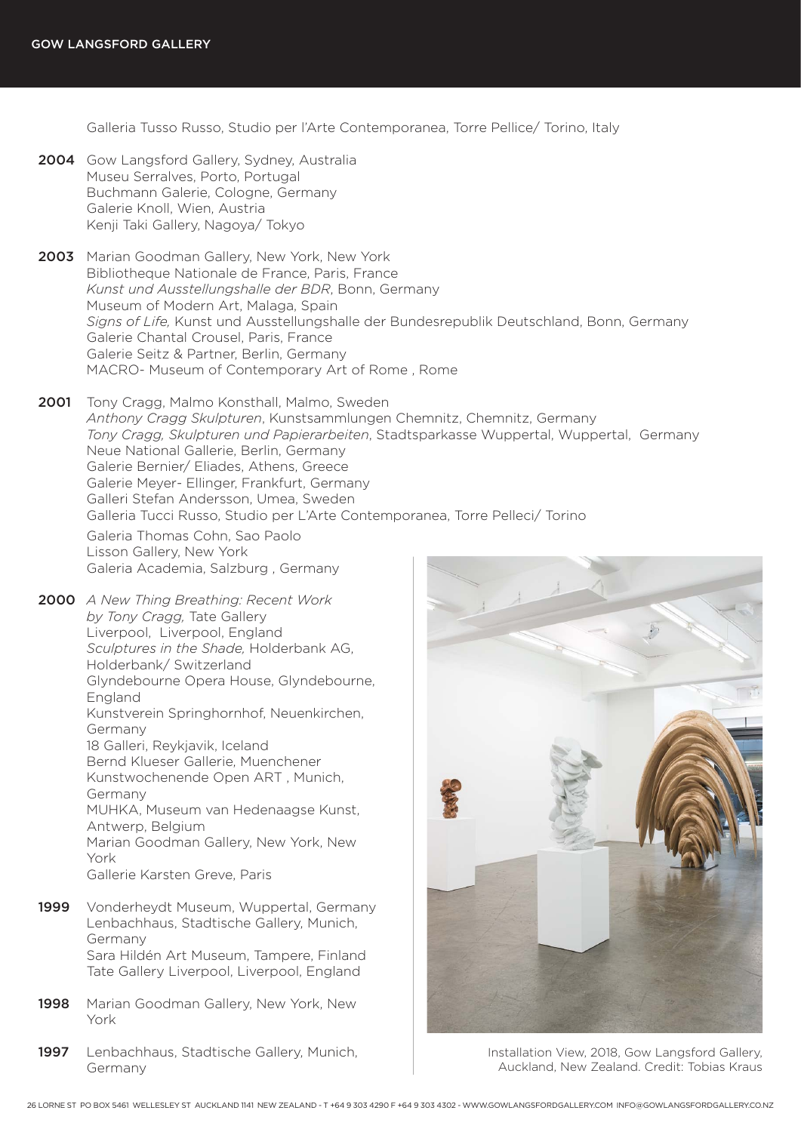Galleria Tusso Russo, Studio per l'Arte Contemporanea, Torre Pellice/ Torino, Italy

- 2004 Gow Langsford Gallery, Sydney, Australia Museu Serralves, Porto, Portugal Buchmann Galerie, Cologne, Germany Galerie Knoll, Wien, Austria Kenji Taki Gallery, Nagoya/ Tokyo
- 2003 Marian Goodman Gallery, New York, New York Bibliotheque Nationale de France, Paris, France *Kunst und Ausstellungshalle der BDR*, Bonn, Germany Museum of Modern Art, Malaga, Spain *Signs of Life,* Kunst und Ausstellungshalle der Bundesrepublik Deutschland, Bonn, Germany Galerie Chantal Crousel, Paris, France Galerie Seitz & Partner, Berlin, Germany MACRO- Museum of Contemporary Art of Rome , Rome
- 2001 Tony Cragg, Malmo Konsthall, Malmo, Sweden *Anthony Cragg Skulpturen*, Kunstsammlungen Chemnitz, Chemnitz, Germany *Tony Cragg, Skulpturen und Papierarbeiten*, Stadtsparkasse Wuppertal, Wuppertal, Germany Neue National Gallerie, Berlin, Germany Galerie Bernier/ Eliades, Athens, Greece Galerie Meyer- Ellinger, Frankfurt, Germany Galleri Stefan Andersson, Umea, Sweden Galleria Tucci Russo, Studio per L'Arte Contemporanea, Torre Pelleci/ Torino

Galeria Thomas Cohn, Sao Paolo Lisson Gallery, New York Galeria Academia, Salzburg , Germany

2000 *A New Thing Breathing: Recent Work by Tony Cragg,* Tate Gallery Liverpool, Liverpool, England *Sculptures in the Shade,* Holderbank AG, Holderbank/ Switzerland Glyndebourne Opera House, Glyndebourne, England Kunstverein Springhornhof, Neuenkirchen, Germany 18 Galleri, Reykjavik, Iceland Bernd Klueser Gallerie, Muenchener Kunstwochenende Open ART , Munich, Germany MUHKA, Museum van Hedenaagse Kunst, Antwerp, Belgium Marian Goodman Gallery, New York, New York

Gallerie Karsten Greve, Paris

- 1999 Vonderheydt Museum, Wuppertal, Germany Lenbachhaus, Stadtische Gallery, Munich, Germany Sara Hildén Art Museum, Tampere, Finland Tate Gallery Liverpool, Liverpool, England
- 1998 Marian Goodman Gallery, New York, New York
- 1997 Lenbachhaus, Stadtische Gallery, Munich, Germany



Installation View, 2018, Gow Langsford Gallery, Auckland, New Zealand. Credit: Tobias Kraus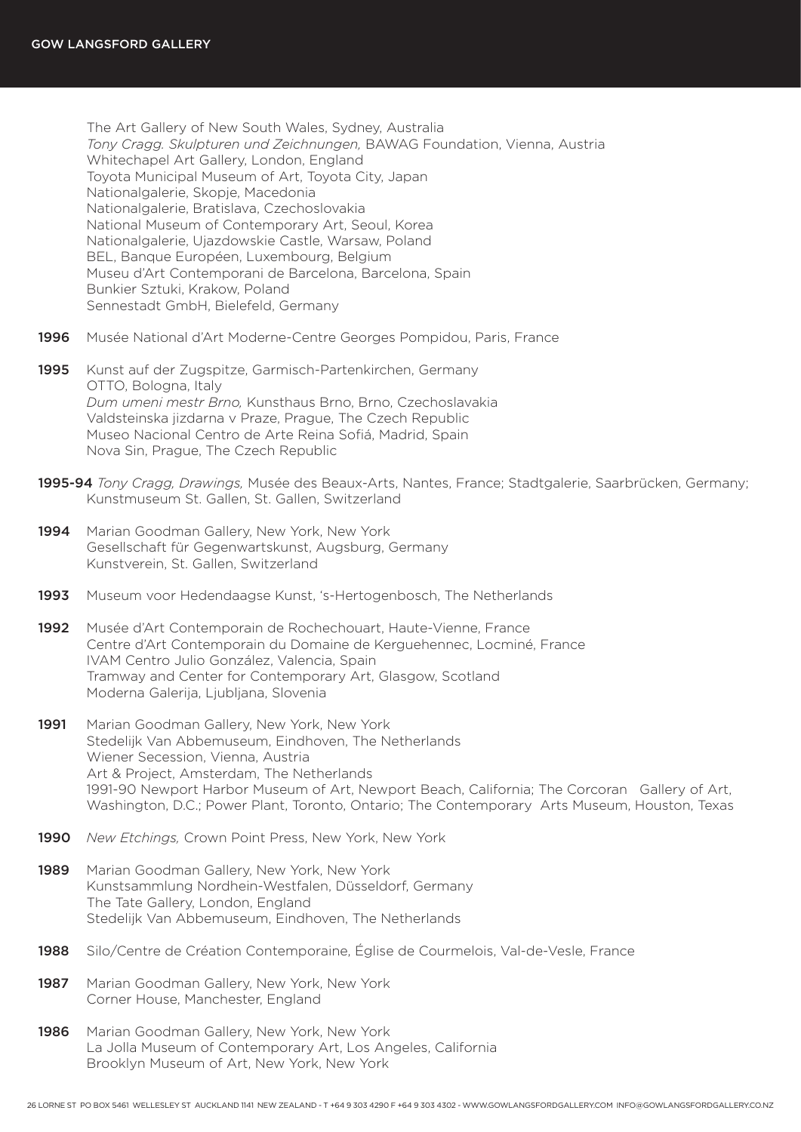The Art Gallery of New South Wales, Sydney, Australia *Tony Cragg. Skulpturen und Zeichnungen,* BAWAG Foundation, Vienna, Austria Whitechapel Art Gallery, London, England Toyota Municipal Museum of Art, Toyota City, Japan Nationalgalerie, Skopje, Macedonia Nationalgalerie, Bratislava, Czechoslovakia National Museum of Contemporary Art, Seoul, Korea Nationalgalerie, Ujazdowskie Castle, Warsaw, Poland BEL, Banque Européen, Luxembourg, Belgium Museu d'Art Contemporani de Barcelona, Barcelona, Spain Bunkier Sztuki, Krakow, Poland Sennestadt GmbH, Bielefeld, Germany

- 1996 Musée National d'Art Moderne-Centre Georges Pompidou, Paris, France
- 1995 Kunst auf der Zugspitze, Garmisch-Partenkirchen, Germany OTTO, Bologna, Italy *Dum umeni mestr Brno,* Kunsthaus Brno, Brno, Czechoslavakia Valdsteinska jizdarna v Praze, Prague, The Czech Republic Museo Nacional Centro de Arte Reina Sofiá, Madrid, Spain Nova Sin, Prague, The Czech Republic
- 1995-94 *Tony Cragg, Drawings,* Musée des Beaux-Arts, Nantes, France; Stadtgalerie, Saarbrücken, Germany; Kunstmuseum St. Gallen, St. Gallen, Switzerland
- 1994 Marian Goodman Gallery, New York, New York Gesellschaft für Gegenwartskunst, Augsburg, Germany Kunstverein, St. Gallen, Switzerland
- 1993 Museum voor Hedendaagse Kunst, 's-Hertogenbosch, The Netherlands
- 1992 Musée d'Art Contemporain de Rochechouart, Haute-Vienne, France Centre d'Art Contemporain du Domaine de Kerguehennec, Locminé, France IVAM Centro Julio González, Valencia, Spain Tramway and Center for Contemporary Art, Glasgow, Scotland Moderna Galerija, Ljubljana, Slovenia
- 1991 Marian Goodman Gallery, New York, New York Stedelijk Van Abbemuseum, Eindhoven, The Netherlands Wiener Secession, Vienna, Austria Art & Project, Amsterdam, The Netherlands 1991-90 Newport Harbor Museum of Art, Newport Beach, California; The Corcoran Gallery of Art, Washington, D.C.; Power Plant, Toronto, Ontario; The Contemporary Arts Museum, Houston, Texas
- 1990 *New Etchings,* Crown Point Press, New York, New York
- 1989 Marian Goodman Gallery, New York, New York Kunstsammlung Nordhein-Westfalen, Düsseldorf, Germany The Tate Gallery, London, England Stedelijk Van Abbemuseum, Eindhoven, The Netherlands
- 1988 Silo/Centre de Création Contemporaine, Église de Courmelois, Val-de-Vesle, France
- 1987 Marian Goodman Gallery, New York, New York Corner House, Manchester, England
- 1986 Marian Goodman Gallery, New York, New York La Jolla Museum of Contemporary Art, Los Angeles, California Brooklyn Museum of Art, New York, New York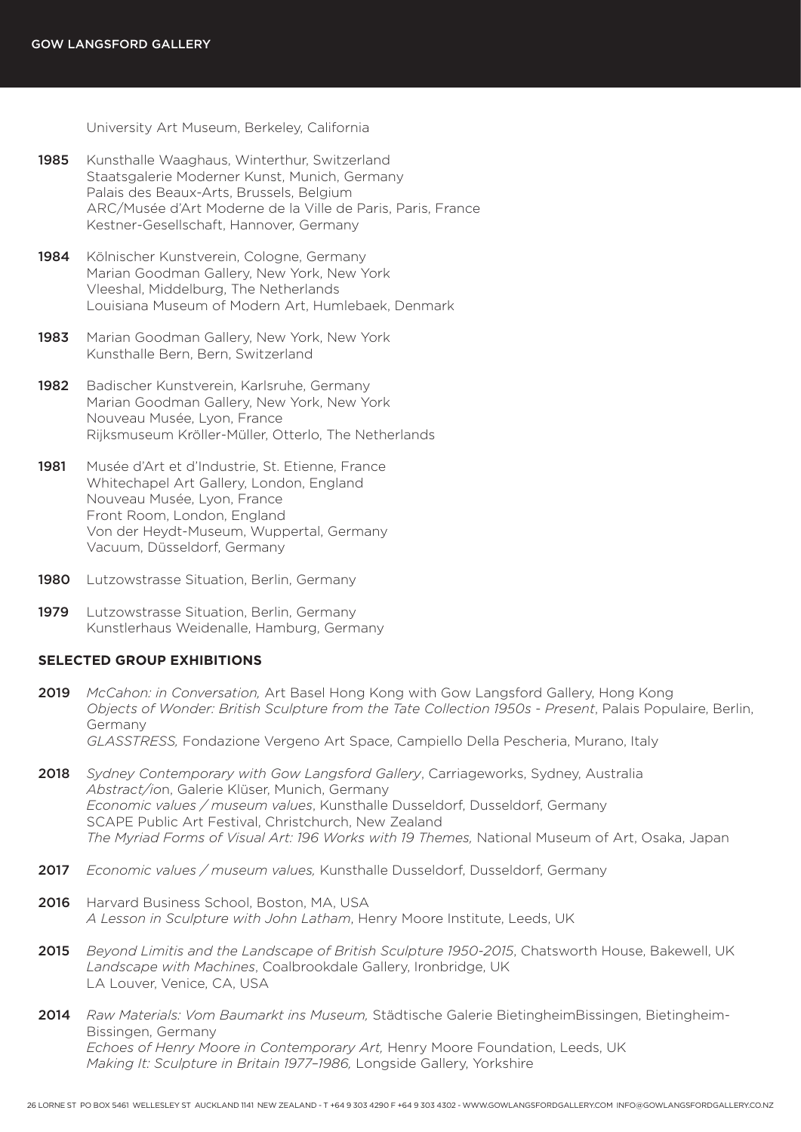University Art Museum, Berkeley, California

- 1985 Kunsthalle Waaghaus, Winterthur, Switzerland Staatsgalerie Moderner Kunst, Munich, Germany Palais des Beaux-Arts, Brussels, Belgium ARC/Musée d'Art Moderne de la Ville de Paris, Paris, France Kestner-Gesellschaft, Hannover, Germany
- 1984 Kölnischer Kunstverein, Cologne, Germany Marian Goodman Gallery, New York, New York Vleeshal, Middelburg, The Netherlands Louisiana Museum of Modern Art, Humlebaek, Denmark
- 1983 Marian Goodman Gallery, New York, New York Kunsthalle Bern, Bern, Switzerland
- 1982 Badischer Kunstverein, Karlsruhe, Germany Marian Goodman Gallery, New York, New York Nouveau Musée, Lyon, France Rijksmuseum Kröller-Müller, Otterlo, The Netherlands
- 1981 Musée d'Art et d'Industrie, St. Etienne, France Whitechapel Art Gallery, London, England Nouveau Musée, Lyon, France Front Room, London, England Von der Heydt-Museum, Wuppertal, Germany Vacuum, Düsseldorf, Germany
- 1980 Lutzowstrasse Situation, Berlin, Germany
- 1979 Lutzowstrasse Situation, Berlin, Germany Kunstlerhaus Weidenalle, Hamburg, Germany

#### **SELECTED GROUP EXHIBITIONS**

- 2019 *McCahon: in Conversation,* Art Basel Hong Kong with Gow Langsford Gallery, Hong Kong *Objects of Wonder: British Sculpture from the Tate Collection 1950s - Present*, Palais Populaire, Berlin, Germany *GLASSTRESS,* Fondazione Vergeno Art Space, Campiello Della Pescheria, Murano, Italy
- 2018 *Sydney Contemporary with Gow Langsford Gallery*, Carriageworks, Sydney, Australia *Abstract/io*n, Galerie Klüser, Munich, Germany *Economic values / museum values*, Kunsthalle Dusseldorf, Dusseldorf, Germany SCAPE Public Art Festival, Christchurch, New Zealand *The Myriad Forms of Visual Art: 196 Works with 19 Themes,* National Museum of Art, Osaka, Japan
- 2017 *Economic values / museum values,* Kunsthalle Dusseldorf, Dusseldorf, Germany
- 2016 Harvard Business School, Boston, MA, USA *A Lesson in Sculpture with John Latham*, Henry Moore Institute, Leeds, UK
- 2015 *Beyond Limitis and the Landscape of British Sculpture 1950-2015*, Chatsworth House, Bakewell, UK *Landscape with Machines*, Coalbrookdale Gallery, Ironbridge, UK LA Louver, Venice, CA, USA
- 2014 *Raw Materials: Vom Baumarkt ins Museum,* Städtische Galerie BietingheimBissingen, Bietingheim-Bissingen, Germany *Echoes of Henry Moore in Contemporary Art,* Henry Moore Foundation, Leeds, UK *Making It: Sculpture in Britain 1977–1986,* Longside Gallery, Yorkshire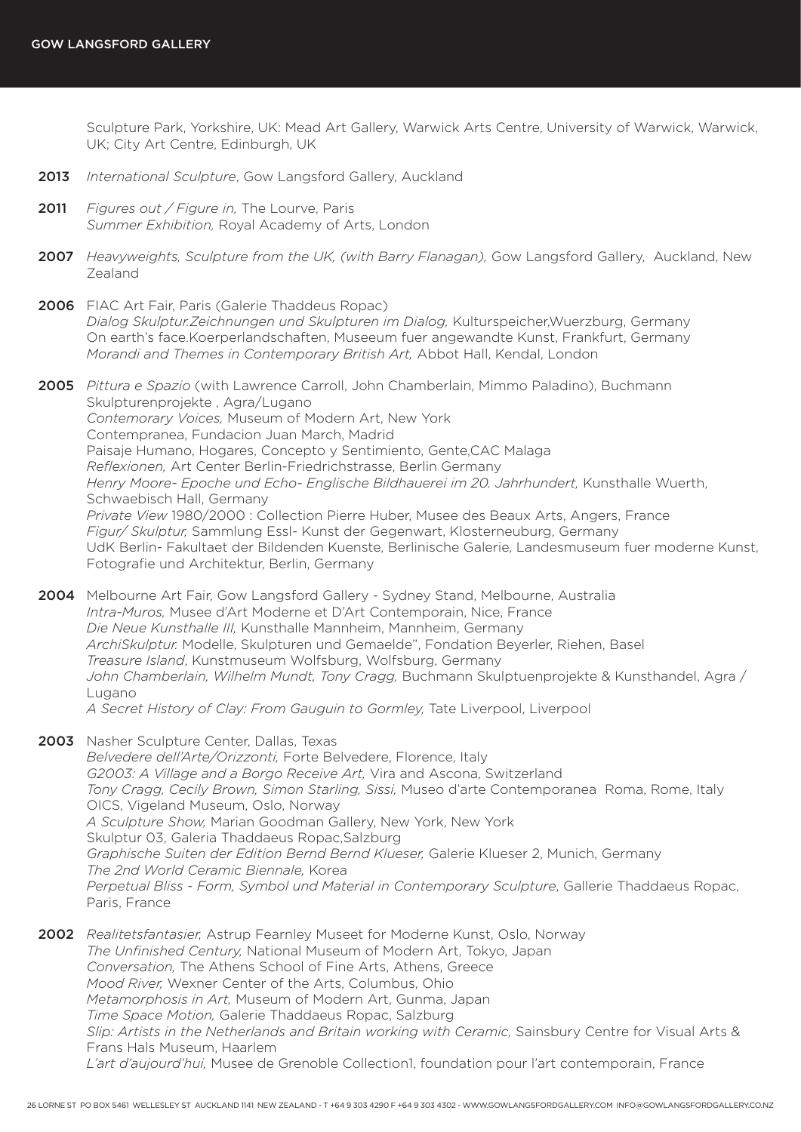Sculpture Park, Yorkshire, UK: Mead Art Gallery, Warwick Arts Centre, University of Warwick, Warwick, UK; City Art Centre, Edinburgh, UK

- 2013 *International Sculpture*, Gow Langsford Gallery, Auckland
- 2011 *Figures out / Figure in,* The Lourve, Paris *Summer Exhibition,* Royal Academy of Arts, London
- 2007 *Heavyweights, Sculpture from the UK, (with Barry Flanagan),* Gow Langsford Gallery, Auckland, New Zealand
- 2006 FIAC Art Fair, Paris (Galerie Thaddeus Ropac) *Dialog Skulptur.Zeichnungen und Skulpturen im Dialog,* Kulturspeicher,Wuerzburg, Germany On earth's face.Koerperlandschaften, Museeum fuer angewandte Kunst, Frankfurt, Germany *Morandi and Themes in Contemporary British Art,* Abbot Hall, Kendal, London
- 2005 *Pittura e Spazio* (with Lawrence Carroll, John Chamberlain, Mimmo Paladino), Buchmann Skulpturenprojekte , Agra/Lugano *Contemorary Voices,* Museum of Modern Art, New York Contempranea, Fundacion Juan March, Madrid Paisaje Humano, Hogares, Concepto y Sentimiento, Gente,CAC Malaga *Reflexionen,* Art Center Berlin-Friedrichstrasse, Berlin Germany *Henry Moore- Epoche und Echo- Englische Bildhauerei im 20. Jahrhundert,* Kunsthalle Wuerth, Schwaebisch Hall, Germany *Private View* 1980/2000 : Collection Pierre Huber, Musee des Beaux Arts, Angers, France *Figur/ Skulptur,* Sammlung Essl- Kunst der Gegenwart, Klosterneuburg, Germany UdK Berlin- Fakultaet der Bildenden Kuenste, Berlinische Galerie, Landesmuseum fuer moderne Kunst, Fotografie und Architektur, Berlin, Germany
- 2004 Melbourne Art Fair, Gow Langsford Gallery Sydney Stand, Melbourne, Australia *Intra-Muros,* Musee d'Art Moderne et D'Art Contemporain, Nice, France *Die Neue Kunsthalle III,* Kunsthalle Mannheim, Mannheim, Germany *ArchiSkulptur.* Modelle, Skulpturen und Gemaelde", Fondation Beyerler, Riehen, Basel *Treasure Island*, Kunstmuseum Wolfsburg, Wolfsburg, Germany *John Chamberlain, Wilhelm Mundt, Tony Cragg,* Buchmann Skulptuenprojekte & Kunsthandel, Agra / Lugano *A Secret History of Clay: From Gauguin to Gormley,* Tate Liverpool, Liverpool
- 2003 Nasher Sculpture Center, Dallas, Texas *Belvedere dell'Arte/Orizzonti,* Forte Belvedere, Florence, Italy *G2003: A Village and a Borgo Receive Art,* Vira and Ascona, Switzerland *Tony Cragg, Cecily Brown, Simon Starling, Sissi,* Museo d'arte Contemporanea Roma, Rome, Italy OICS, Vigeland Museum, Oslo, Norway *A Sculpture Show,* Marian Goodman Gallery, New York, New York Skulptur 03, Galeria Thaddaeus Ropac,Salzburg *Graphische Suiten der Edition Bernd Bernd Klueser,* Galerie Klueser 2, Munich, Germany *The 2nd World Ceramic Biennale,* Korea *Perpetual Bliss - Form, Symbol und Material in Contemporary Sculpture*, Gallerie Thaddaeus Ropac, Paris, France
- 2002 *Realitetsfantasier,* Astrup Fearnley Museet for Moderne Kunst, Oslo, Norway *The Unfinished Century,* National Museum of Modern Art, Tokyo, Japan *Conversation,* The Athens School of Fine Arts, Athens, Greece *Mood River,* Wexner Center of the Arts, Columbus, Ohio *Metamorphosis in Art,* Museum of Modern Art, Gunma, Japan *Time Space Motion,* Galerie Thaddaeus Ropac, Salzburg *Slip: Artists in the Netherlands and Britain working with Ceramic,* Sainsbury Centre for Visual Arts & Frans Hals Museum, Haarlem *L'art d'aujourd'hui,* Musee de Grenoble Collection1, foundation pour l'art contemporain, France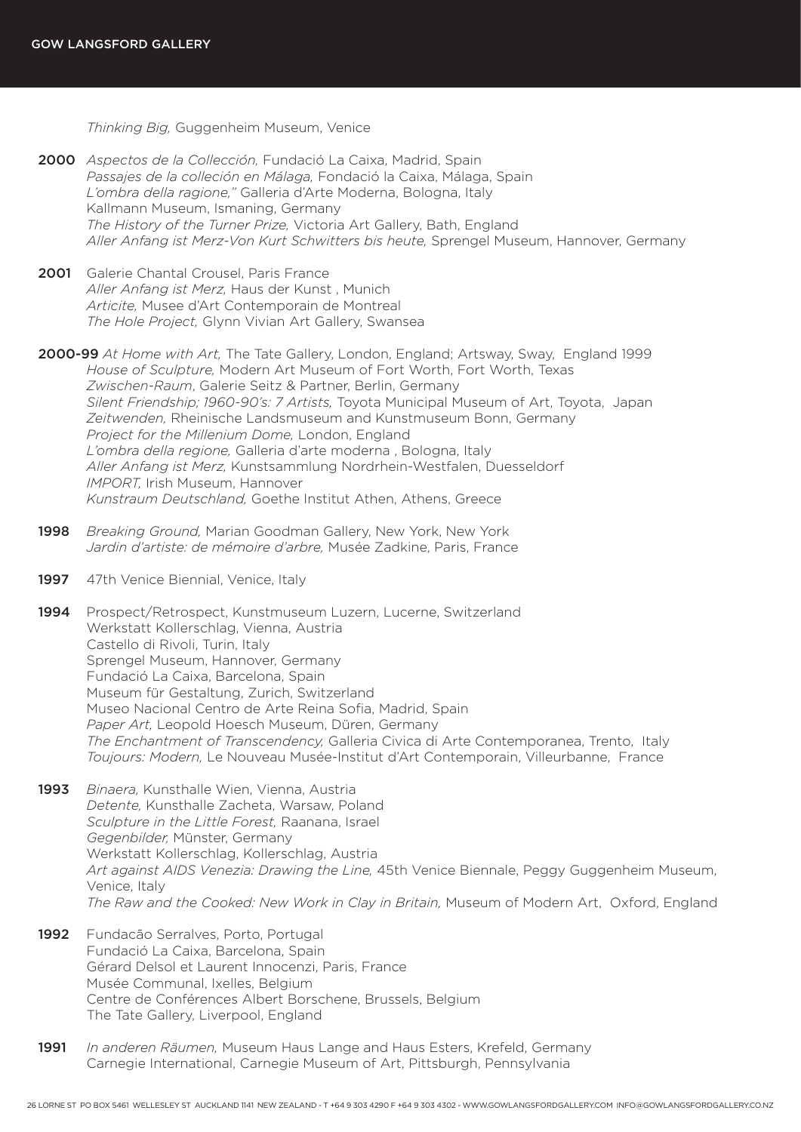*Thinking Big,* Guggenheim Museum, Venice

- 2000 *Aspectos de la Collección,* Fundació La Caixa, Madrid, Spain *Passajes de la colleción en Málaga,* Fondació la Caixa, Málaga, Spain *L'ombra della ragione,"* Galleria d'Arte Moderna, Bologna, Italy Kallmann Museum, Ismaning, Germany *The History of the Turner Prize,* Victoria Art Gallery, Bath, England *Aller Anfang ist Merz-Von Kurt Schwitters bis heute,* Sprengel Museum, Hannover, Germany
- 2001 Galerie Chantal Crousel, Paris France *Aller Anfang ist Merz,* Haus der Kunst , Munich *Articite,* Musee d'Art Contemporain de Montreal *The Hole Project,* Glynn Vivian Art Gallery, Swansea
- 2000-99 *At Home with Art,* The Tate Gallery, London, England; Artsway, Sway, England 1999 *House of Sculpture,* Modern Art Museum of Fort Worth, Fort Worth, Texas *Zwischen-Raum*, Galerie Seitz & Partner, Berlin, Germany *Silent Friendship; 1960-90's: 7 Artists,* Toyota Municipal Museum of Art, Toyota, Japan *Zeitwenden,* Rheinische Landsmuseum and Kunstmuseum Bonn, Germany *Project for the Millenium Dome,* London, England *L'ombra della regione,* Galleria d'arte moderna , Bologna, Italy *Aller Anfang ist Merz,* Kunstsammlung Nordrhein-Westfalen, Duesseldorf *IMPORT,* Irish Museum, Hannover *Kunstraum Deutschland,* Goethe Institut Athen, Athens, Greece
- 1998 *Breaking Ground,* Marian Goodman Gallery, New York, New York *Jardin d'artiste: de mémoire d'arbre,* Musée Zadkine, Paris, France
- 1997 47th Venice Biennial, Venice, Italy
- 1994 Prospect/Retrospect, Kunstmuseum Luzern, Lucerne, Switzerland Werkstatt Kollerschlag, Vienna, Austria Castello di Rivoli, Turin, Italy Sprengel Museum, Hannover, Germany Fundació La Caixa, Barcelona, Spain Museum für Gestaltung, Zurich, Switzerland Museo Nacional Centro de Arte Reina Sofia, Madrid, Spain *Paper Art,* Leopold Hoesch Museum, Düren, Germany *The Enchantment of Transcendency,* Galleria Civica di Arte Contemporanea, Trento, Italy *Toujours: Modern,* Le Nouveau Musée-Institut d'Art Contemporain, Villeurbanne, France
- 1993 *Binaera,* Kunsthalle Wien, Vienna, Austria *Detente,* Kunsthalle Zacheta, Warsaw, Poland *Sculpture in the Little Forest,* Raanana, Israel *Gegenbilder,* Münster, Germany Werkstatt Kollerschlag, Kollerschlag, Austria *Art against AIDS Venezia: Drawing the Line,* 45th Venice Biennale, Peggy Guggenheim Museum, Venice, Italy *The Raw and the Cooked: New Work in Clay in Britain,* Museum of Modern Art, Oxford, England
- 1992 Fundacão Serralves, Porto, Portugal Fundació La Caixa, Barcelona, Spain Gérard Delsol et Laurent Innocenzi, Paris, France Musée Communal, Ixelles, Belgium Centre de Conférences Albert Borschene, Brussels, Belgium The Tate Gallery, Liverpool, England
- 1991 *In anderen Räumen,* Museum Haus Lange and Haus Esters, Krefeld, Germany Carnegie International, Carnegie Museum of Art, Pittsburgh, Pennsylvania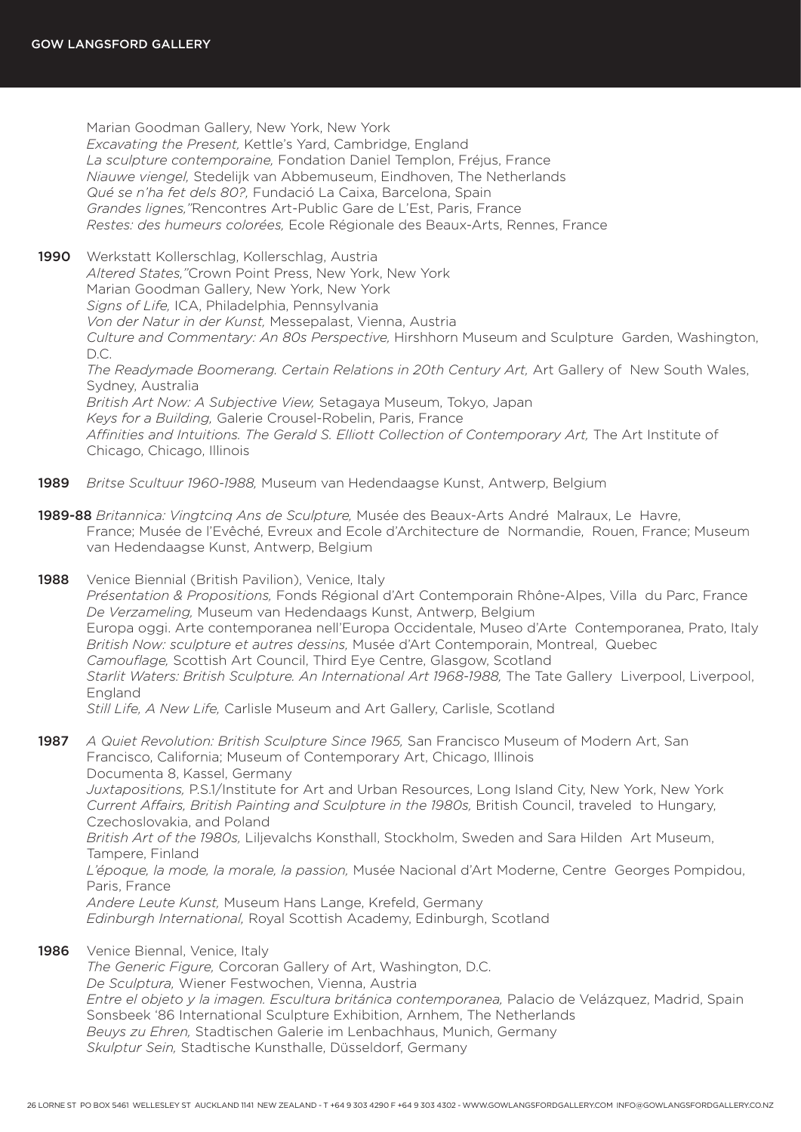Marian Goodman Gallery, New York, New York *Excavating the Present,* Kettle's Yard, Cambridge, England *La sculpture contemporaine,* Fondation Daniel Templon, Fréjus, France *Niauwe viengel,* Stedelijk van Abbemuseum, Eindhoven, The Netherlands *Qué se n'ha fet dels 80?,* Fundació La Caixa, Barcelona, Spain *Grandes lignes,"*Rencontres Art-Public Gare de L'Est, Paris, France *Restes: des humeurs colorées,* Ecole Régionale des Beaux-Arts, Rennes, France

1990 Werkstatt Kollerschlag, Kollerschlag, Austria *Altered States,"*Crown Point Press, New York, New York Marian Goodman Gallery, New York, New York *Signs of Life,* ICA, Philadelphia, Pennsylvania *Von der Natur in der Kunst,* Messepalast, Vienna, Austria *Culture and Commentary: An 80s Perspective,* Hirshhorn Museum and Sculpture Garden, Washington, D.C. *The Readymade Boomerang. Certain Relations in 20th Century Art,* Art Gallery of New South Wales, Sydney, Australia

*British Art Now: A Subjective View,* Setagaya Museum, Tokyo, Japan *Keys for a Building,* Galerie Crousel-Robelin, Paris, France *Affinities and Intuitions. The Gerald S. Elliott Collection of Contemporary Art,* The Art Institute of Chicago, Chicago, Illinois

- 1989 *Britse Scultuur 1960-1988,* Museum van Hedendaagse Kunst, Antwerp, Belgium
- 1989-88 *Britannica: Vingtcinq Ans de Sculpture,* Musée des Beaux-Arts André Malraux, Le Havre, France; Musée de l'Evêché, Evreux and Ecole d'Architecture de Normandie, Rouen, France; Museum van Hedendaagse Kunst, Antwerp, Belgium
- 1988 Venice Biennial (British Pavilion), Venice, Italy *Présentation & Propositions,* Fonds Régional d'Art Contemporain Rhône-Alpes, Villa du Parc, France *De Verzameling,* Museum van Hedendaags Kunst, Antwerp, Belgium Europa oggi. Arte contemporanea nell'Europa Occidentale, Museo d'Arte Contemporanea, Prato, Italy *British Now: sculpture et autres dessins,* Musée d'Art Contemporain, Montreal, Quebec *Camouflage,* Scottish Art Council, Third Eye Centre, Glasgow, Scotland *Starlit Waters: British Sculpture. An International Art 1968-1988,* The Tate Gallery Liverpool, Liverpool, England *Still Life, A New Life,* Carlisle Museum and Art Gallery, Carlisle, Scotland

1987 *A Quiet Revolution: British Sculpture Since 1965,* San Francisco Museum of Modern Art, San Francisco, California; Museum of Contemporary Art, Chicago, Illinois Documenta 8, Kassel, Germany *Juxtapositions,* P.S.1/Institute for Art and Urban Resources, Long Island City, New York, New York *Current Affairs, British Painting and Sculpture in the 1980s,* British Council, traveled to Hungary, Czechoslovakia, and Poland *British Art of the 1980s,* Liljevalchs Konsthall, Stockholm, Sweden and Sara Hilden Art Museum, Tampere, Finland *L'époque, la mode, la morale, la passion,* Musée Nacional d'Art Moderne, Centre Georges Pompidou,

Paris, France *Andere Leute Kunst,* Museum Hans Lange, Krefeld, Germany *Edinburgh International,* Royal Scottish Academy, Edinburgh, Scotland

1986 Venice Biennal, Venice, Italy

*The Generic Figure,* Corcoran Gallery of Art, Washington, D.C. *De Sculptura,* Wiener Festwochen, Vienna, Austria *Entre el objeto y la imagen. Escultura británica contemporanea,* Palacio de Velázquez, Madrid, Spain Sonsbeek '86 International Sculpture Exhibition, Arnhem, The Netherlands *Beuys zu Ehren,* Stadtischen Galerie im Lenbachhaus, Munich, Germany *Skulptur Sein,* Stadtische Kunsthalle, Düsseldorf, Germany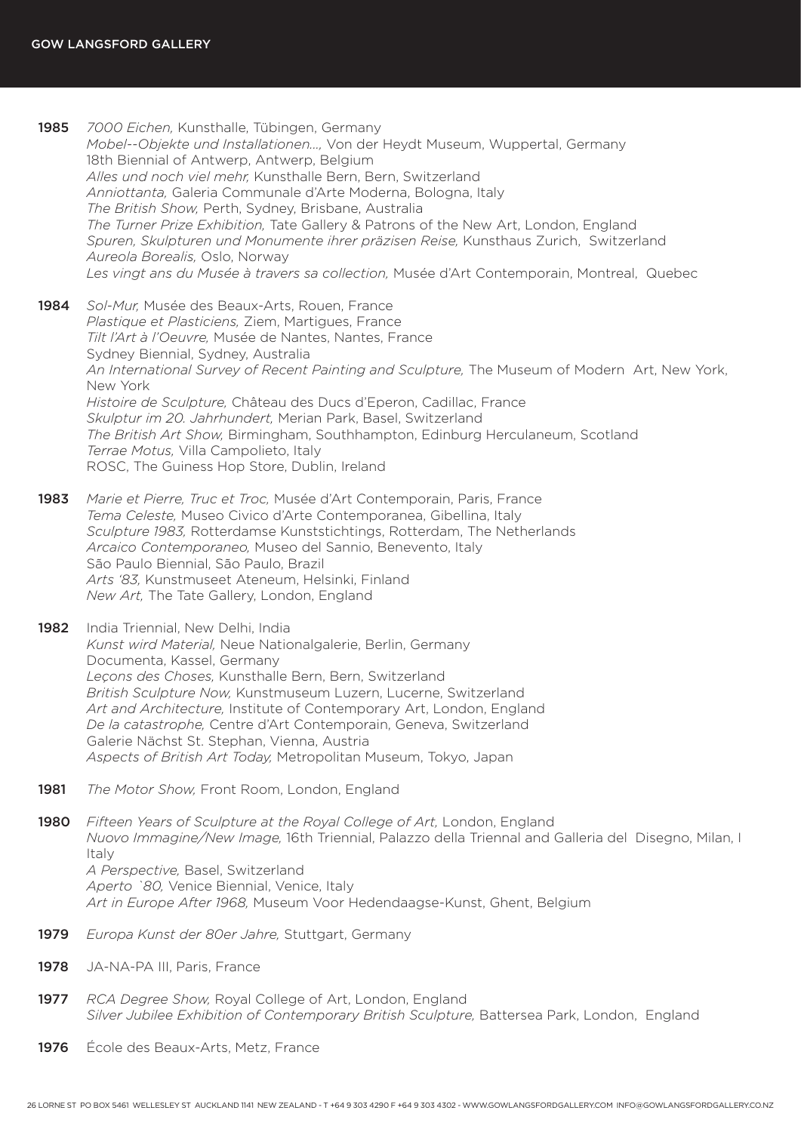- 1985 *7000 Eichen,* Kunsthalle, Tübingen, Germany *Mobel--Objekte und Installationen...,* Von der Heydt Museum, Wuppertal, Germany 18th Biennial of Antwerp, Antwerp, Belgium *Alles und noch viel mehr,* Kunsthalle Bern, Bern, Switzerland *Anniottanta,* Galeria Communale d'Arte Moderna, Bologna, Italy *The British Show,* Perth, Sydney, Brisbane, Australia *The Turner Prize Exhibition,* Tate Gallery & Patrons of the New Art, London, England *Spuren, Skulpturen und Monumente ihrer präzisen Reise,* Kunsthaus Zurich, Switzerland *Aureola Borealis,* Oslo, Norway *Les vingt ans du Musée à travers sa collection,* Musée d'Art Contemporain, Montreal, Quebec
- 1984 *Sol-Mur,* Musée des Beaux-Arts, Rouen, France *Plastique et Plasticiens,* Ziem, Martigues, France *Tilt l'Art à l'Oeuvre,* Musée de Nantes, Nantes, France Sydney Biennial, Sydney, Australia *An International Survey of Recent Painting and Sculpture,* The Museum of Modern Art, New York, New York *Histoire de Sculpture,* Château des Ducs d'Eperon, Cadillac, France *Skulptur im 20. Jahrhundert,* Merian Park, Basel, Switzerland *The British Art Show,* Birmingham, Southhampton, Edinburg Herculaneum, Scotland *Terrae Motus,* Villa Campolieto, Italy ROSC, The Guiness Hop Store, Dublin, Ireland
- 1983 *Marie et Pierre, Truc et Troc,* Musée d'Art Contemporain, Paris, France *Tema Celeste,* Museo Civico d'Arte Contemporanea, Gibellina, Italy *Sculpture 1983,* Rotterdamse Kunststichtings, Rotterdam, The Netherlands *Arcaico Contemporaneo,* Museo del Sannio, Benevento, Italy São Paulo Biennial, São Paulo, Brazil *Arts '83,* Kunstmuseet Ateneum, Helsinki, Finland *New Art,* The Tate Gallery, London, England
- 1982 India Triennial, New Delhi, India *Kunst wird Material,* Neue Nationalgalerie, Berlin, Germany Documenta, Kassel, Germany *Leçons des Choses,* Kunsthalle Bern, Bern, Switzerland *British Sculpture Now,* Kunstmuseum Luzern, Lucerne, Switzerland *Art and Architecture,* Institute of Contemporary Art, London, England *De la catastrophe,* Centre d'Art Contemporain, Geneva, Switzerland Galerie Nächst St. Stephan, Vienna, Austria *Aspects of British Art Today,* Metropolitan Museum, Tokyo, Japan
- 1981 *The Motor Show,* Front Room, London, England

1980 *Fifteen Years of Sculpture at the Royal College of Art*, London, England *Nuovo Immagine/New Image,* 16th Triennial, Palazzo della Triennal and Galleria del Disegno, Milan, I Italy *A Perspective,* Basel, Switzerland *Aperto `80,* Venice Biennial, Venice, Italy *Art in Europe After 1968,* Museum Voor Hedendaagse-Kunst, Ghent, Belgium

- 1979 *Europa Kunst der 80er Jahre,* Stuttgart, Germany
- 1978 JA-NA-PA III, Paris, France
- 1977 *RCA Degree Show,* Royal College of Art, London, England *Silver Jubilee Exhibition of Contemporary British Sculpture,* Battersea Park, London, England
- 1976 École des Beaux-Arts, Metz, France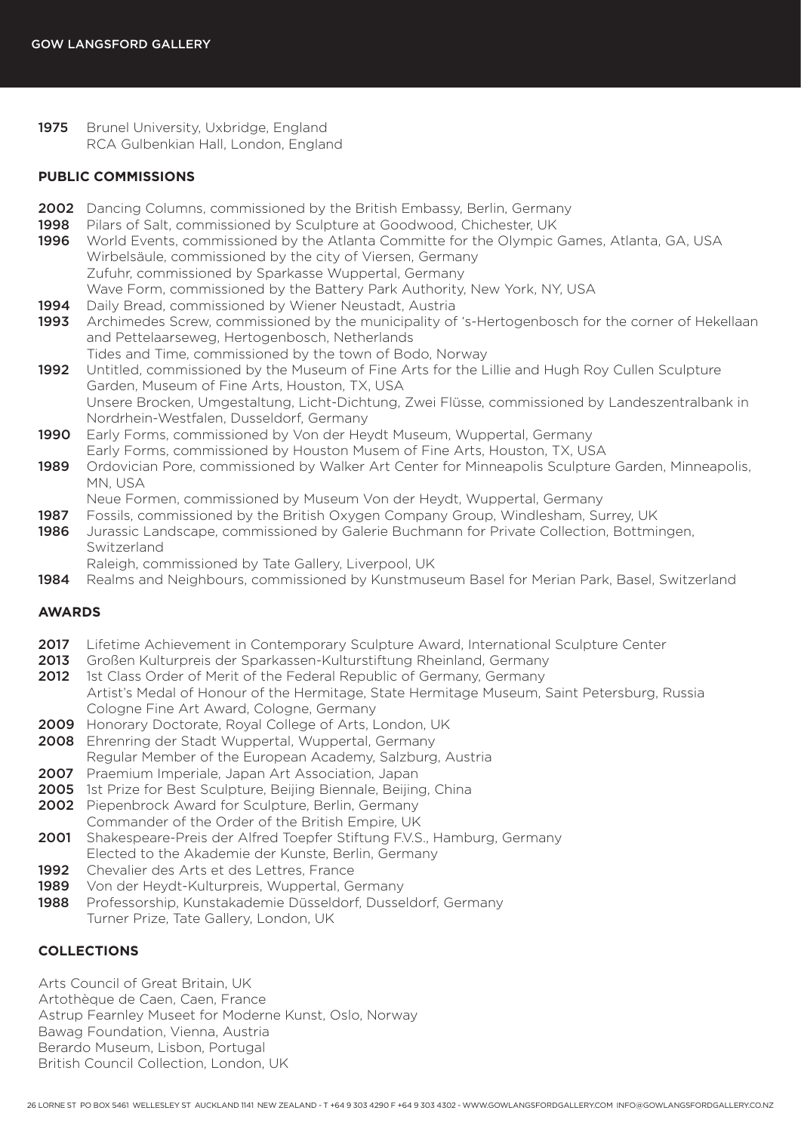1975 Brunel University, Uxbridge, England RCA Gulbenkian Hall, London, England

### **PUBLIC COMMISSIONS**

- 2002 Dancing Columns, commissioned by the British Embassy, Berlin, Germany
- 1998 Pilars of Salt, commissioned by Sculpture at Goodwood, Chichester, UK
- 1996 World Events, commissioned by the Atlanta Committe for the Olympic Games, Atlanta, GA, USA Wirbelsäule, commissioned by the city of Viersen, Germany Zufuhr, commissioned by Sparkasse Wuppertal, Germany Wave Form, commissioned by the Battery Park Authority, New York, NY, USA
- 1994 Daily Bread, commissioned by Wiener Neustadt, Austria
- 1993 Archimedes Screw, commissioned by the municipality of 's-Hertogenbosch for the corner of Hekellaan and Pettelaarseweg, Hertogenbosch, Netherlands
- Tides and Time, commissioned by the town of Bodo, Norway 1992 Untitled, commissioned by the Museum of Fine Arts for the Lillie and Hugh Roy Cullen Sculpture Garden, Museum of Fine Arts, Houston, TX, USA Unsere Brocken, Umgestaltung, Licht-Dichtung, Zwei Flüsse, commissioned by Landeszentralbank in Nordrhein-Westfalen, Dusseldorf, Germany
- 1990 Early Forms, commissioned by Von der Heydt Museum, Wuppertal, Germany Early Forms, commissioned by Houston Musem of Fine Arts, Houston, TX, USA
- 1989 Ordovician Pore, commissioned by Walker Art Center for Minneapolis Sculpture Garden, Minneapolis, MN, USA
	- Neue Formen, commissioned by Museum Von der Heydt, Wuppertal, Germany
- 1987 Fossils, commissioned by the British Oxygen Company Group, Windlesham, Surrey, UK
- 1986 Jurassic Landscape, commissioned by Galerie Buchmann for Private Collection, Bottmingen, Switzerland
- Raleigh, commissioned by Tate Gallery, Liverpool, UK
- 1984 Realms and Neighbours, commissioned by Kunstmuseum Basel for Merian Park, Basel, Switzerland

## **AWARDS**

- 2017 Lifetime Achievement in Contemporary Sculpture Award, International Sculpture Center
- 2013 Großen Kulturpreis der Sparkassen-Kulturstiftung Rheinland, Germany
- 2012 1st Class Order of Merit of the Federal Republic of Germany, Germany Artist's Medal of Honour of the Hermitage, State Hermitage Museum, Saint Petersburg, Russia Cologne Fine Art Award, Cologne, Germany
- 2009 Honorary Doctorate, Royal College of Arts, London, UK
- 2008 Ehrenring der Stadt Wuppertal, Wuppertal, Germany
- Regular Member of the European Academy, Salzburg, Austria
- 2007 Praemium Imperiale, Japan Art Association, Japan
- 2005 1st Prize for Best Sculpture, Beijing Biennale, Beijing, China
- 2002 Piepenbrock Award for Sculpture, Berlin, Germany Commander of the Order of the British Empire, UK
- 2001 Shakespeare-Preis der Alfred Toepfer Stiftung F.V.S., Hamburg, Germany Elected to the Akademie der Kunste, Berlin, Germany
- 1992 Chevalier des Arts et des Lettres, France
- 1989 Von der Heydt-Kulturpreis, Wuppertal, Germany
- 1988 Professorship, Kunstakademie Düsseldorf, Dusseldorf, Germany Turner Prize, Tate Gallery, London, UK

## **COLLECTIONS**

Arts Council of Great Britain, UK Artothèque de Caen, Caen, France Astrup Fearnley Museet for Moderne Kunst, Oslo, Norway Bawag Foundation, Vienna, Austria Berardo Museum, Lisbon, Portugal British Council Collection, London, UK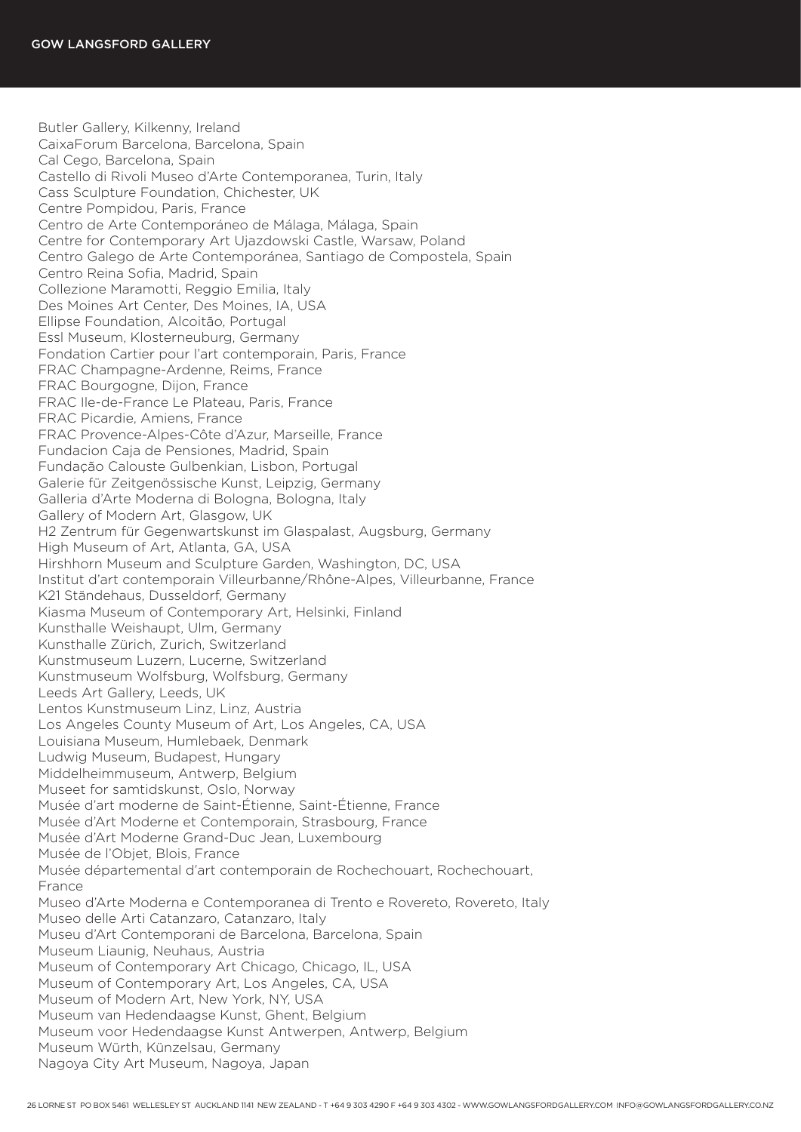Butler Gallery, Kilkenny, Ireland CaixaForum Barcelona, Barcelona, Spain Cal Cego, Barcelona, Spain Castello di Rivoli Museo d'Arte Contemporanea, Turin, Italy Cass Sculpture Foundation, Chichester, UK Centre Pompidou, Paris, France Centro de Arte Contemporáneo de Málaga, Málaga, Spain Centre for Contemporary Art Ujazdowski Castle, Warsaw, Poland Centro Galego de Arte Contemporánea, Santiago de Compostela, Spain Centro Reina Sofia, Madrid, Spain Collezione Maramotti, Reggio Emilia, Italy Des Moines Art Center, Des Moines, IA, USA Ellipse Foundation, Alcoitão, Portugal Essl Museum, Klosterneuburg, Germany Fondation Cartier pour l'art contemporain, Paris, France FRAC Champagne-Ardenne, Reims, France FRAC Bourgogne, Dijon, France FRAC Ile-de-France Le Plateau, Paris, France FRAC Picardie, Amiens, France FRAC Provence-Alpes-Côte d'Azur, Marseille, France Fundacion Caja de Pensiones, Madrid, Spain Fundação Calouste Gulbenkian, Lisbon, Portugal Galerie für Zeitgenössische Kunst, Leipzig, Germany Galleria d'Arte Moderna di Bologna, Bologna, Italy Gallery of Modern Art, Glasgow, UK H2 Zentrum für Gegenwartskunst im Glaspalast, Augsburg, Germany High Museum of Art, Atlanta, GA, USA Hirshhorn Museum and Sculpture Garden, Washington, DC, USA Institut d'art contemporain Villeurbanne/Rhône-Alpes, Villeurbanne, France K21 Ständehaus, Dusseldorf, Germany Kiasma Museum of Contemporary Art, Helsinki, Finland Kunsthalle Weishaupt, Ulm, Germany Kunsthalle Zürich, Zurich, Switzerland Kunstmuseum Luzern, Lucerne, Switzerland Kunstmuseum Wolfsburg, Wolfsburg, Germany Leeds Art Gallery, Leeds, UK Lentos Kunstmuseum Linz, Linz, Austria Los Angeles County Museum of Art, Los Angeles, CA, USA Louisiana Museum, Humlebaek, Denmark Ludwig Museum, Budapest, Hungary Middelheimmuseum, Antwerp, Belgium Museet for samtidskunst, Oslo, Norway Musée d'art moderne de Saint-Étienne, Saint-Étienne, France Musée d'Art Moderne et Contemporain, Strasbourg, France Musée d'Art Moderne Grand-Duc Jean, Luxembourg Musée de l'Objet, Blois, France Musée départemental d'art contemporain de Rochechouart, Rochechouart, France Museo d'Arte Moderna e Contemporanea di Trento e Rovereto, Rovereto, Italy Museo delle Arti Catanzaro, Catanzaro, Italy Museu d'Art Contemporani de Barcelona, Barcelona, Spain Museum Liaunig, Neuhaus, Austria Museum of Contemporary Art Chicago, Chicago, IL, USA Museum of Contemporary Art, Los Angeles, CA, USA Museum of Modern Art, New York, NY, USA Museum van Hedendaagse Kunst, Ghent, Belgium Museum voor Hedendaagse Kunst Antwerpen, Antwerp, Belgium Museum Würth, Künzelsau, Germany Nagoya City Art Museum, Nagoya, Japan